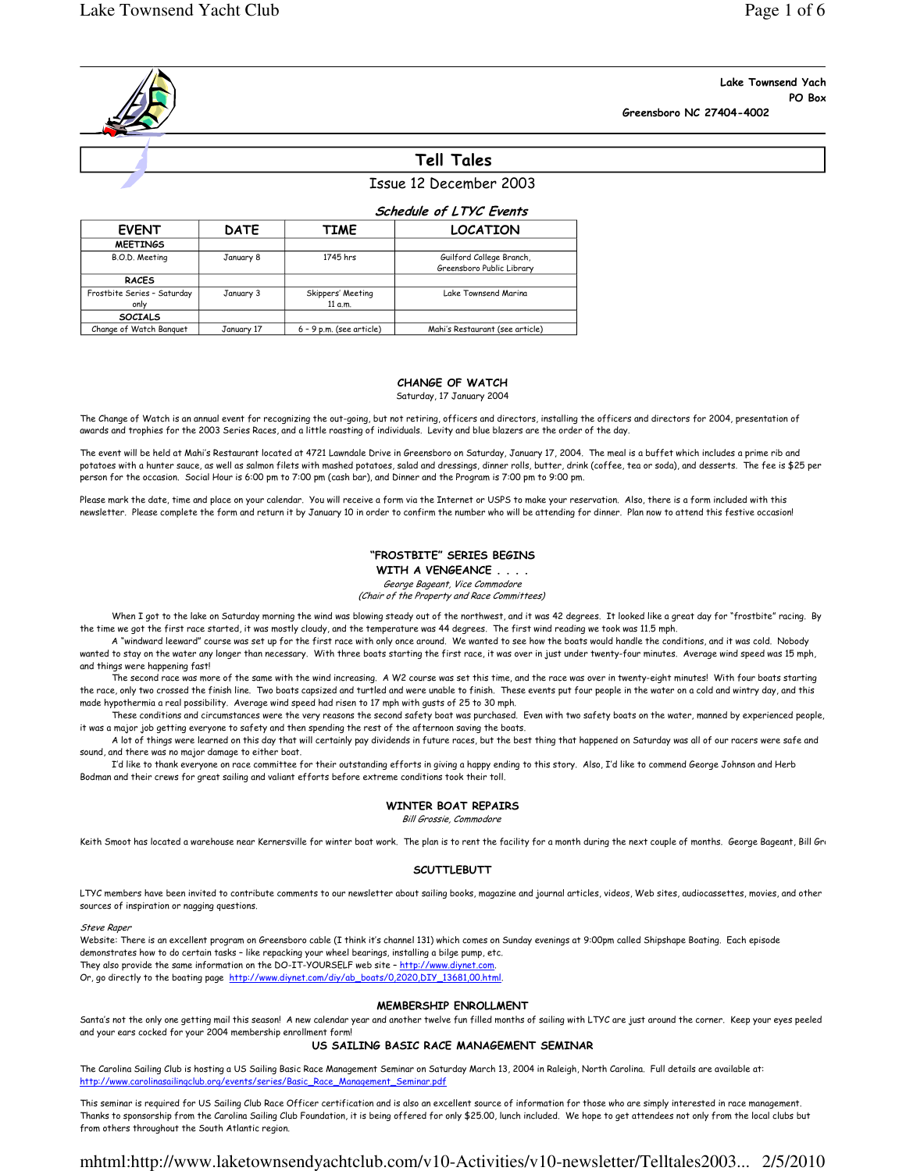# Lake Townsend Yach PO Box

Greensboro NC 27404-4002

# Tell Tales

# Issue 12 December 2003

| <b>Schedule of LTYC Events</b> |  |  |  |
|--------------------------------|--|--|--|
|--------------------------------|--|--|--|

| <b>EVENT</b>                        | <b>DATE</b> | TIME                         | <b>LOCATION</b>                                       |
|-------------------------------------|-------------|------------------------------|-------------------------------------------------------|
| <b>MEETINGS</b>                     |             |                              |                                                       |
| B.O.D. Meeting                      | January 8   | 1745 hrs                     | Guilford College Branch,<br>Greensboro Public Library |
| <b>RACES</b>                        |             |                              |                                                       |
| Frostbite Series - Saturday<br>only | January 3   | Skippers' Meeting<br>11 a.m. | Lake Townsend Marina                                  |
| <b>SOCIALS</b>                      |             |                              |                                                       |
| Change of Watch Banguet             | January 17  | $6 - 9$ p.m. (see article)   | Mahi's Restaurant (see article)                       |

#### CHANGE OF WATCH

Saturday, 17 January 2004

The Change of Watch is an annual event for recognizing the out-going, but not retiring, officers and directors, installing the officers and directors for 2004, presentation of awards and trophies for the 2003 Series Races, and a little roasting of individuals. Levity and blue blazers are the order of the day.

The event will be held at Mahi's Restaurant located at 4721 Lawndale Drive in Greensboro on Saturday, January 17, 2004. The meal is a buffet which includes a prime rib and potatoes with a hunter sauce, as well as salmon filets with mashed potatoes, salad and dressings, dinner rolls, butter, drink (coffee, tea or soda), and desserts. The fee is \$25 per person for the occasion. Social Hour is 6:00 pm to 7:00 pm (cash bar), and Dinner and the Program is 7:00 pm to 9:00 pm.

Please mark the date, time and place on your calendar. You will receive a form via the Internet or USPS to make your reservation. Also, there is a form included with this newsletter. Please complete the form and return it by January 10 in order to confirm the number who will be attending for dinner. Plan now to attend this festive occasion!

#### "FROSTBITE" SERIES BEGINS WITH A VENGEANCE . . . .

George Bageant, Vice Commodore

(Chair of the Property and Race Committees)

When I got to the lake on Saturday morning the wind was blowing steady out of the northwest, and it was 42 degrees. It looked like a great day for "frostbite" racing. By the time we got the first race started, it was mostly cloudy, and the temperature was 44 degrees. The first wind reading we took was 11.5 mph.

 A "windward leeward" course was set up for the first race with only once around. We wanted to see how the boats would handle the conditions, and it was cold. Nobody wanted to stay on the water any longer than necessary. With three boats starting the first race, it was over in just under twenty-four minutes. Average wind speed was 15 mph, and things were happening fast!

The second race was more of the same with the wind increasing. A W2 course was set this time, and the race was over in twenty-eight minutes! With four boats starting the race, only two crossed the finish line. Two boats capsized and turtled and were unable to finish. These events put four people in the water on a cold and wintry day, and this made hypothermia a real possibility. Average wind speed had risen to 17 mph with gusts of 25 to 30 mph.

These conditions and circumstances were the very reasons the second safety boat was purchased. Even with two safety boats on the water, manned by experienced people, it was a major job getting everyone to safety and then spending the rest of the afternoon saving the boats.

A lot of things were learned on this day that will certainly pay dividends in future races, but the best thing that happened on Saturday was all of our racers were safe and sound, and there was no major damage to either boat.

I'd like to thank everyone on race committee for their outstanding efforts in giving a happy ending to this story. Also, I'd like to commend George Johnson and Herb Bodman and their crews for great sailing and valiant efforts before extreme conditions took their toll.

## WINTER BOAT REPAIRS

Bill Grossie, Commodore

Keith Smoot has located a warehouse near Kernersville for winter boat work. The plan is to rent the facility for a month during the next couple of months. George Bageant, Bill Grossie

#### **SCUTTLEBUTT**

LTYC members have been invited to contribute comments to our newsletter about sailing books, magazine and journal articles, videos, Web sites, audiocassettes, movies, and other sources of inspiration or nagging questions.

Steve Raper

Website: There is an excellent program on Greensboro cable (I think it's channel 131) which comes on Sunday evenings at 9:00pm called Shipshape Boating. Each episode demonstrates how to do certain tasks – like repacking your wheel bearings, installing a bilge pump, etc. They also provide the same information on the DO-IT-YOURSELF web site – http://www.diynet.com. Or, go directly to the boating page http://www.diynet.com/diy/ab\_boats/0,2020,DIY\_13681,00.html.

#### MEMBERSHIP ENROLLMENT

Santa's not the only one getting mail this season! A new calendar year and another twelve fun filled months of sailing with LTYC are just around the corner. Keep your eyes peeled and your ears cocked for your 2004 membership enrollment form!

### US SAILING BASIC RACE MANAGEMENT SEMINAR

The Carolina Sailing Club is hosting a US Sailing Basic Race Management Seminar on Saturday March 13, 2004 in Raleigh, North Carolina. Full details are available at: http://www.carolinasailingclub.org/events/series/Basic\_Race\_Management\_Seminar.pdf

This seminar is required for US Sailing Club Race Officer certification and is also an excellent source of information for those who are simply interested in race management. Thanks to sponsorship from the Carolina Sailing Club Foundation, it is being offered for only \$25.00, lunch included. We hope to get attendees not only from the local clubs but from others throughout the South Atlantic region.

# mhtml:http://www.laketownsendyachtclub.com/v10-Activities/v10-newsletter/Telltales2003... 2/5/2010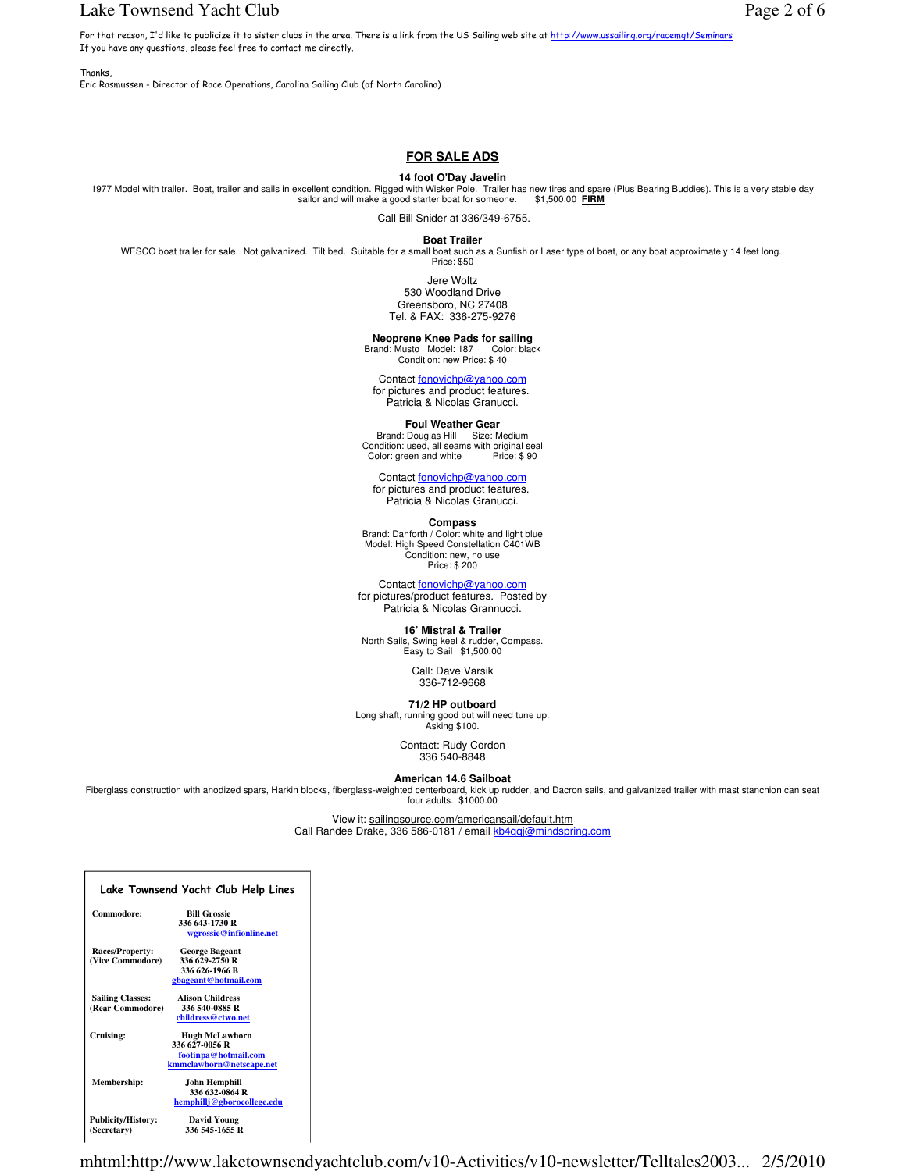## Lake Townsend Yacht Club Page 2 of 6

**Thanks** 

Eric Rasmussen - Director of Race Operations, Carolina Sailing Club (of North Carolina)

# **FOR SALE ADS**

#### **14 foot O'Day Javelin**

1977 Model with trailer. Boat, trailer and sails in excellent condition. Rigged with Wisker Pole. Trailer has new tires and spare (Plus Bearing Buddies). This is a very stable day sailor and will make a good starter boat for someone. \$1,500.00 **FIRM** 

Call Bill Snider at 336/349-6755.

**Boat Trailer**

WESCO boat trailer for sale. Not galvanized. Tilt bed. Suitable for a small boat such as a Sunfish or Laser type of boat, or any boat approximately 14 feet long. Price: \$50

Jere Woltz 530 Woodland Drive Greensboro, NC 27408 Tel. & FAX: 336-275-9276

**Neoprene Knee Pads for sailing** Brand: Musto Model: 187 Color: black

Condition: new Price: \$ 40

Contact fonovichp@yahoo.com

for pictures and product features. Patricia & Nicolas Granucci.

**Foul Weather Gear**<br>Brand: Douglas Hill Size: Medium<br>Condition: used, all seams with original seal Color: green and white Price: \$90

Contact fonovichp@yahoo.com

for pictures and product features. Patricia & Nicolas Granucci.

**Compass** 

Brand: Danforth / Color: white and light blue Model: High Speed Constellation C401WB Condition: new, no use Price: \$ 200

Contact fonovichp@yahoo for pictures/product features. Posted by Patricia & Nicolas Grannucci.

**16' Mistral & Trailer<br>North Sails, Swing keel & rudder, Compass.<br>Easy to Sail \$1,500.00** 

Call: Dave Varsik 336-712-9668

**71/2 HP outboard**<br>Long shaft, running good but will need tune up.<br>Asking \$100.

Contact: Rudy Cordon 336 540-8848

**American 14.6 Sailboat**

Fiberglass construction with anodized spars, Harkin blocks, fiberglass-weighted centerboard, kick up rudder, and Dacron sails, and galvanized trailer with mast stanchion can seat four adults. \$1000.00

View it: sailingsource.com/americansail/default.htm

Call Randee Drake, 336 586-0181 / email kb4qqj@mindspring.com

| Lake Townsend Yacht Club Help Lines |                            |  |  |  |
|-------------------------------------|----------------------------|--|--|--|
| Commodore:                          | <b>Bill Grossie</b>        |  |  |  |
|                                     | 336 643-1730 R             |  |  |  |
|                                     | wgrossie@infionline.net    |  |  |  |
| Races/Property:                     | <b>George Bageant</b>      |  |  |  |
| (Vice Commodore)                    | 336 629-2750 R             |  |  |  |
|                                     | 336 626-1966 B             |  |  |  |
|                                     | gbageant@hotmail.com       |  |  |  |
| <b>Sailing Classes:</b>             | <b>Alison Childress</b>    |  |  |  |
| (Rear Commodore)                    | 336 540-0885 R             |  |  |  |
|                                     | childress@ctwo.net         |  |  |  |
| Cruising:                           | <b>Hugh McLawhorn</b>      |  |  |  |
|                                     | 336 627-0056 R             |  |  |  |
|                                     | footinpa@hotmail.com       |  |  |  |
|                                     | kmmclawhorn@netscape.net   |  |  |  |
| Membership:                         | John Hemphill              |  |  |  |
|                                     | 336 632-0864 R             |  |  |  |
|                                     | hemphillj@gborocollege.edu |  |  |  |
| <b>Publicity/History:</b>           | <b>David Young</b>         |  |  |  |
| (Secretary)                         | 336 545-1655 R             |  |  |  |

mhtml:http://www.laketownsendyachtclub.com/v10-Activities/v10-newsletter/Telltales2003... 2/5/2010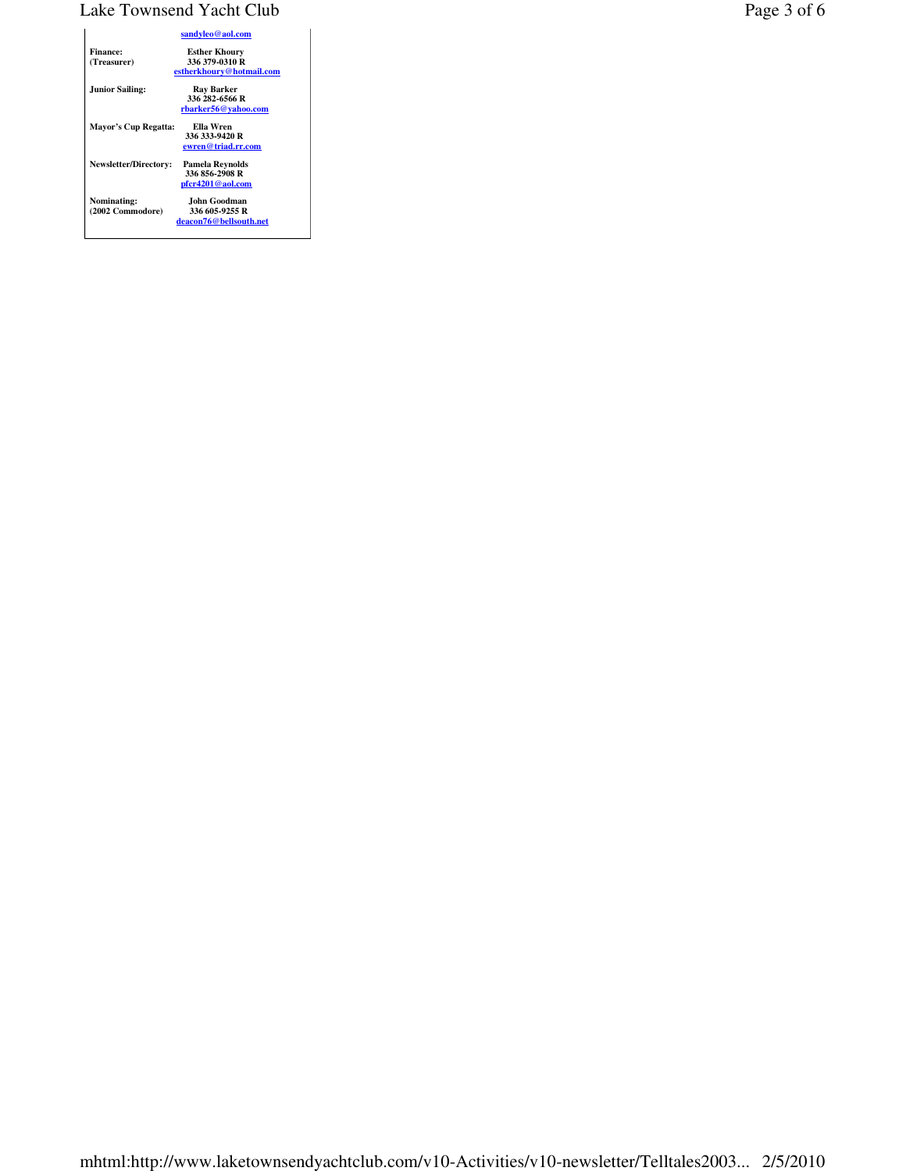# Lake Townsend Yacht Club Page 3 of 6

|                              | sandyleo@aol.com         |
|------------------------------|--------------------------|
| <b>Finance:</b>              | <b>Esther Khoury</b>     |
| (Treasurer)                  | 336 379-0310 R           |
|                              | estherkhoury@hotmail.com |
| <b>Junior Sailing:</b>       | Ray Barker               |
|                              | 336 282-6566 R           |
|                              | rbarker56@vahoo.com      |
| Mayor's Cup Regatta:         | Ella Wren                |
|                              | 336 333-9420 R           |
|                              | ewren@triad.rr.com       |
| <b>Newsletter/Directory:</b> | Pamela Reynolds          |
|                              | 336 856-2908 R           |
|                              | pfcr4201@aol.com         |
| Nominating:                  | John Goodman             |
| (2002 Commodore)             | 336 605-9255 R           |
|                              | deacon76@bellsouth.net   |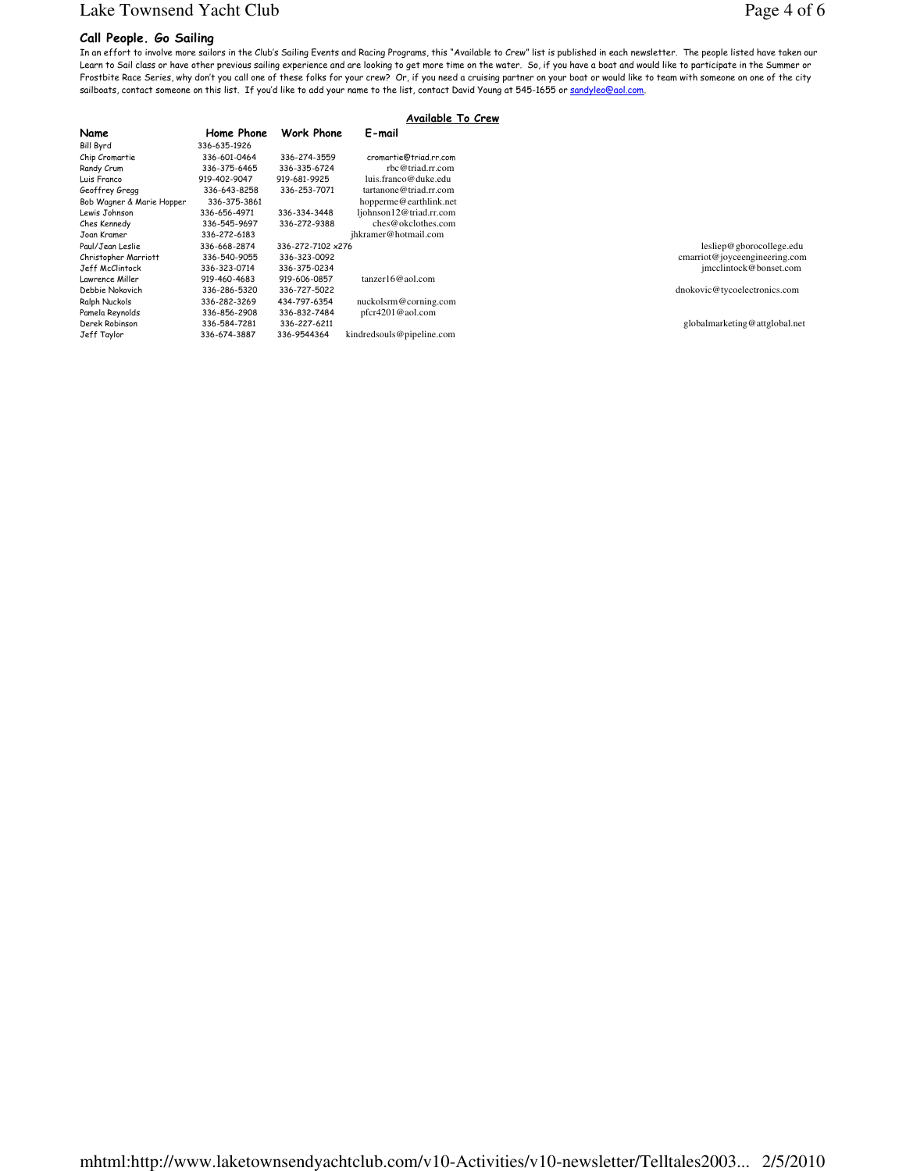# Lake Townsend Yacht Club Page 4 of 6

### Call People. Go Sailing

In an effort to involve more sailors in the Club's Sailing Events and Racing Programs, this "Available to Crew" list is published in each newsletter. The people listed have taken our Learn to Sail class or have other previous sailing experience and are looking to get more time on the water. So, if you have a boat and would like to participate in the Summer or Frostbite Race Series, why don't you call one of these folks for your crew? Or, if you need a cruising partner on your boat or would like to team with someone on one of the city sailboats, contact someone on this list. If you'd like to add your name to the list, contact David Young at 545-1655 or sandyleo@aol.com.

| Available To Crew         |              |                   |                           |                               |
|---------------------------|--------------|-------------------|---------------------------|-------------------------------|
| Name                      | Home Phone   | Work Phone        | E-mail                    |                               |
| Bill Byrd                 | 336-635-1926 |                   |                           |                               |
| Chip Cromartie            | 336-601-0464 | 336-274-3559      | cromartie@triad.rr.com    |                               |
| Randy Crum                | 336-375-6465 | 336-335-6724      | rbc@triad.rr.com          |                               |
| Luis Franco               | 919-402-9047 | 919-681-9925      | luis.franco@duke.edu      |                               |
| Geoffrey Gregg            | 336-643-8258 | 336-253-7071      | tartanone@triad.rr.com    |                               |
| Bob Wagner & Marie Hopper | 336-375-3861 |                   | hopperme@earthlink.net    |                               |
| Lewis Johnson             | 336-656-4971 | 336-334-3448      | ljohnson12@triad.rr.com   |                               |
| Ches Kennedy              | 336-545-9697 | 336-272-9388      | ches@okclothes.com        |                               |
| Joan Kramer               | 336-272-6183 |                   | jhkramer@hotmail.com      |                               |
| Paul/Jean Leslie          | 336-668-2874 | 336-272-7102 x276 |                           | lesliep@gborocollege.edu      |
| Christopher Marriott      | 336-540-9055 | 336-323-0092      |                           | cmarriot@joyceengineering.com |
| Jeff McClintock           | 336-323-0714 | 336-375-0234      |                           | jmcclintock@bonset.com        |
| Lawrence Miller           | 919-460-4683 | 919-606-0857      | $tanzer16@$ aol.com       |                               |
| Debbie Nokovich           | 336-286-5320 | 336-727-5022      |                           | dnokovic@tycoelectronics.com  |
| Ralph Nuckols             | 336-282-3269 | 434-797-6354      | nuckolsrm@corning.com     |                               |
| Pamela Reynolds           | 336-856-2908 | 336-832-7484      | $pfcr4201@$ aol.com       |                               |
| Derek Robinson            | 336-584-7281 | 336-227-6211      |                           | globalmarketing@attglobal.net |
| Jeff Taylor               | 336-674-3887 | 336-9544364       | kindredsouls@pipeline.com |                               |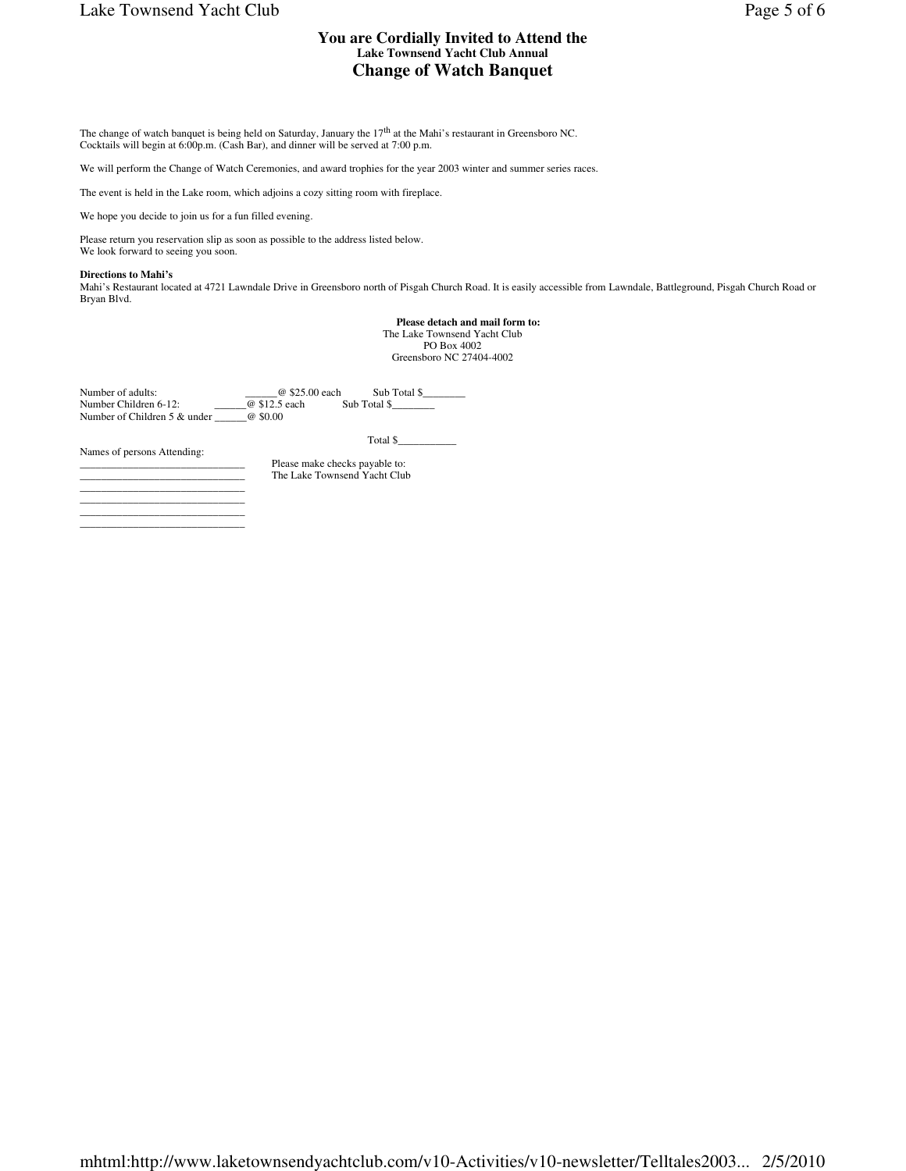# Lake Townsend Yacht Club Page 5 of 6

## **You are Cordially Invited to Attend the Lake Townsend Yacht Club Annual Change of Watch Banquet**

The change of watch banquet is being held on Saturday, January the 17<sup>th</sup> at the Mahi's restaurant in Greensboro NC.<br>Cocktails will begin at 6:00p.m. (Cash Bar), and dinner will be served at 7:00 p.m.

We will perform the Change of Watch Ceremonies, and award trophies for the year 2003 winter and summer series races.

Please make checks payable to: The Lake Townsend Yacht Club

The event is held in the Lake room, which adjoins a cozy sitting room with fireplace.

We hope you decide to join us for a fun filled evening.

Please return you reservation slip as soon as possible to the address listed below. We look forward to seeing you soon.

#### **Directions to Mahi's**

Mahi's Restaurant located at 4721 Lawndale Drive in Greensboro north of Pisgah Church Road. It is easily accessible from Lawndale, Battleground, Pisgah Church Road or Bryan Blvd.

> **Please detach and mail form to:** The Lake Townsend Yacht Club PO Box 4002 Greensboro NC 27404-4002

Number of adults: \_\_\_\_\_\_\_\_\_\_\_\_\_\_\_\_\_\_\_\_\_\_\_\_@ \$25.00 each Sub Total \$\_\_\_\_\_\_\_\_\_\_\_\_<br>Number Children 6-12: \_\_\_\_\_\_\_\_\_\_\_@ \$12.5 each Sub Total \$\_\_\_\_\_\_\_\_\_ Number of Children 5 & under \_\_\_\_\_\_@ \$0.00

Names of persons Attending:

Total \$\_\_\_\_\_\_\_\_\_\_\_

| ___ |  |                  |
|-----|--|------------------|
|     |  | ________________ |
|     |  | _________        |
|     |  |                  |
|     |  |                  |